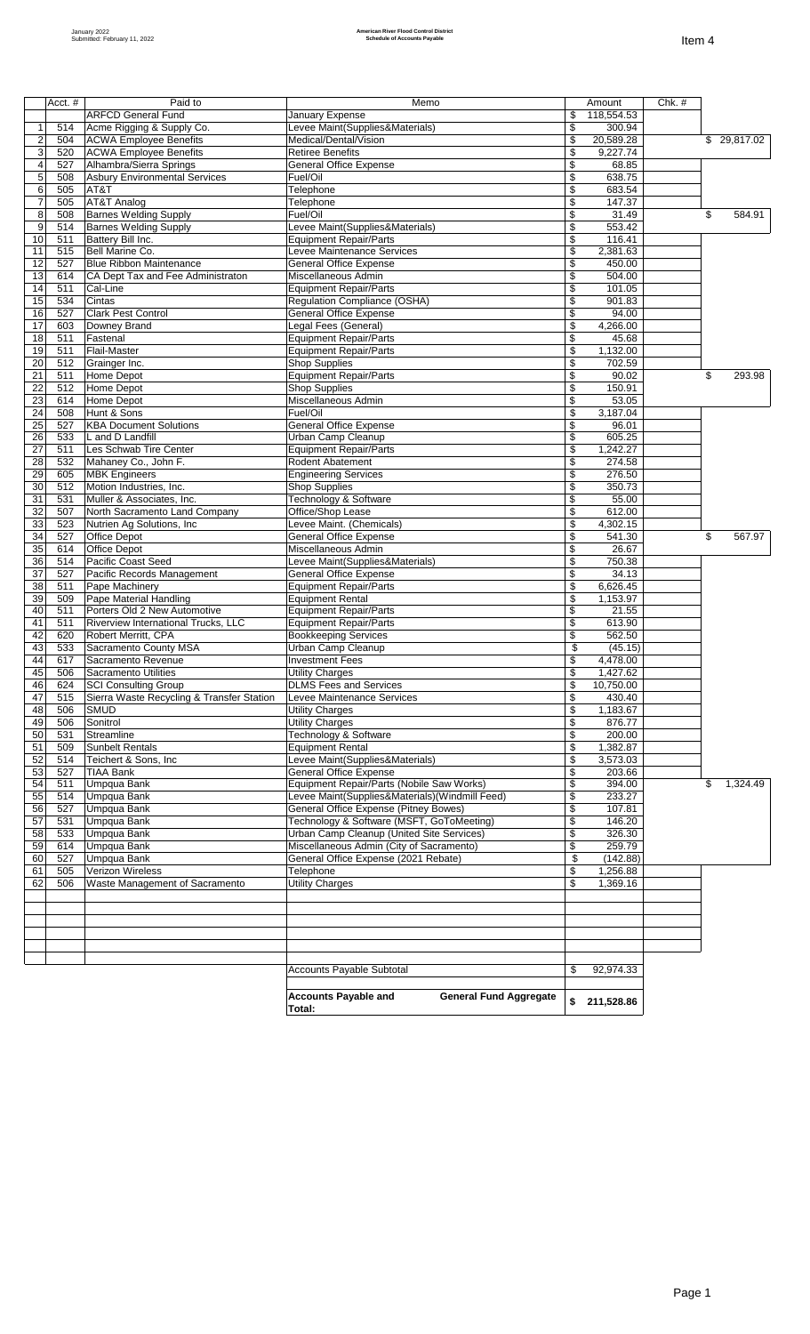|                     | Acct. #    | Paid to                                                        | Memo                                                                                   | Amount                            | Chk.# |                |
|---------------------|------------|----------------------------------------------------------------|----------------------------------------------------------------------------------------|-----------------------------------|-------|----------------|
|                     |            | <b>ARFCD General Fund</b>                                      | January Expense                                                                        | \$<br>118,554.53                  |       |                |
| $\mathbf 1$         | 514        | Acme Rigging & Supply Co.                                      | Levee Maint(Supplies&Materials)                                                        | \$<br>300.94                      |       |                |
| $\overline{2}$<br>3 | 504<br>520 | <b>ACWA Employee Benefits</b><br><b>ACWA Employee Benefits</b> | Medical/Dental/Vision<br><b>Retiree Benefits</b>                                       | \$<br>20,589.28<br>\$<br>9,227.74 |       | \$ 29,817.02   |
| $\overline{4}$      | 527        | Alhambra/Sierra Springs                                        | <b>General Office Expense</b>                                                          | \$<br>68.85                       |       |                |
| 5                   | 508        | <b>Asbury Environmental Services</b>                           | Fuel/Oil                                                                               | \$<br>638.75                      |       |                |
| 6                   | 505        | AT&T                                                           | Telephone                                                                              | \$<br>683.54                      |       |                |
| $\overline{7}$      | 505        | AT&T Analog                                                    | Telephone                                                                              | \$<br>147.37                      |       |                |
| 8                   | 508        | <b>Barnes Welding Supply</b>                                   | Fuel/Oil                                                                               | \$<br>31.49                       |       | \$<br>584.91   |
| 9                   | 514        | <b>Barnes Welding Supply</b>                                   | Levee Maint(Supplies&Materials)                                                        | \$<br>553.42                      |       |                |
| 10<br>11            | 511<br>515 | Battery Bill Inc.<br>Bell Marine Co.                           | <b>Equipment Repair/Parts</b><br>Levee Maintenance Services                            | \$<br>116.41<br>\$<br>2,381.63    |       |                |
| 12                  | 527        | <b>Blue Ribbon Maintenance</b>                                 | General Office Expense                                                                 | \$<br>450.00                      |       |                |
| 13                  | 614        | CA Dept Tax and Fee Administraton                              | Miscellaneous Admin                                                                    | \$<br>504.00                      |       |                |
| 14                  | 511        | Cal-Line                                                       | <b>Equipment Repair/Parts</b>                                                          | \$<br>101.05                      |       |                |
| 15                  | 534        | Cintas                                                         | Regulation Compliance (OSHA)                                                           | \$<br>901.83                      |       |                |
| 16                  | 527        | <b>Clark Pest Control</b>                                      | <b>General Office Expense</b>                                                          | \$<br>94.00                       |       |                |
| 17                  | 603        | Downey Brand                                                   | Legal Fees (General)                                                                   | \$<br>4,266.00                    |       |                |
| 18                  | 511        | Fastenal                                                       | <b>Equipment Repair/Parts</b>                                                          | \$<br>45.68                       |       |                |
| 19                  | 511        | Flail-Master                                                   | <b>Equipment Repair/Parts</b>                                                          | \$<br>1,132.00                    |       |                |
| 20<br>21            | 512<br>511 | Grainger Inc.<br>Home Depot                                    | <b>Shop Supplies</b><br><b>Equipment Repair/Parts</b>                                  | \$<br>702.59<br>\$<br>90.02       |       | \$<br>293.98   |
| 22                  | 512        | Home Depot                                                     | <b>Shop Supplies</b>                                                                   | \$<br>150.91                      |       |                |
| 23                  | 614        | Home Depot                                                     | Miscellaneous Admin                                                                    | \$<br>53.05                       |       |                |
| $\overline{24}$     | 508        | Hunt & Sons                                                    | Fuel/Oil                                                                               | \$<br>3,187.04                    |       |                |
| 25                  | 527        | <b>KBA Document Solutions</b>                                  | <b>General Office Expense</b>                                                          | \$<br>96.01                       |       |                |
| 26                  | 533        | L and D Landfill                                               | Urban Camp Cleanup                                                                     | \$<br>605.25                      |       |                |
| 27                  | 511        | Les Schwab Tire Center                                         | <b>Equipment Repair/Parts</b>                                                          | \$<br>1,242.27                    |       |                |
| 28                  | 532        | Mahaney Co., John F.                                           | <b>Rodent Abatement</b>                                                                | \$<br>274.58                      |       |                |
| 29                  | 605        | <b>MBK Engineers</b>                                           | <b>Engineering Services</b>                                                            | \$<br>276.50<br>350.73            |       |                |
| 30<br>31            | 512<br>531 | Motion Industries, Inc.<br>Muller & Associates, Inc.           | <b>Shop Supplies</b><br>Technology & Software                                          | \$<br>\$<br>55.00                 |       |                |
| 32                  | 507        | North Sacramento Land Company                                  | Office/Shop Lease                                                                      | \$<br>612.00                      |       |                |
| 33                  | 523        | Nutrien Ag Solutions, Inc.                                     | Levee Maint. (Chemicals)                                                               | \$<br>4,302.15                    |       |                |
| 34                  | 527        | Office Depot                                                   | <b>General Office Expense</b>                                                          | \$<br>541.30                      |       | \$<br>567.97   |
| 35                  | 614        | Office Depot                                                   | Miscellaneous Admin                                                                    | \$<br>26.67                       |       |                |
| 36                  | 514        | Pacific Coast Seed                                             | Levee Maint(Supplies&Materials)                                                        | \$<br>750.38                      |       |                |
| 37                  | 527        | Pacific Records Management                                     | <b>General Office Expense</b>                                                          | \$<br>34.13                       |       |                |
| 38                  | 511        | Pape Machinery                                                 | <b>Equipment Repair/Parts</b>                                                          | \$<br>6,626.45                    |       |                |
| 39<br>40            | 509<br>511 | Pape Material Handling<br>Porters Old 2 New Automotive         | <b>Equipment Rental</b><br><b>Equipment Repair/Parts</b>                               | \$<br>1,153.97<br>\$<br>21.55     |       |                |
| 41                  | 511        | Riverview International Trucks, LLC                            | <b>Equipment Repair/Parts</b>                                                          | \$<br>613.90                      |       |                |
| 42                  | 620        | Robert Merritt, CPA                                            | <b>Bookkeeping Services</b>                                                            | \$<br>562.50                      |       |                |
| 43                  | 533        | Sacramento County MSA                                          | Urban Camp Cleanup                                                                     | \$<br>(45.15)                     |       |                |
| 44                  | 617        | Sacramento Revenue                                             | <b>Investment Fees</b>                                                                 | \$<br>4,478.00                    |       |                |
| 45                  | 506        | Sacramento Utilities                                           | <b>Utility Charges</b>                                                                 | \$<br>1,427.62                    |       |                |
| 46                  | 624        | <b>SCI Consulting Group</b>                                    | <b>DLMS Fees and Services</b>                                                          | $\frac{1}{2}$<br>10,750.00        |       |                |
| 47                  | 515        | Sierra Waste Recycling & Transfer Station                      | Levee Maintenance Services                                                             | \$<br>430.40                      |       |                |
| 48<br>49            | 506<br>506 | <b>SMUD</b><br>Sonitrol                                        | <b>Utility Charges</b><br><b>Utility Charges</b>                                       | \$<br>1,183.67<br>\$<br>876.77    |       |                |
| 50                  | 531        | Streamline                                                     | Technology & Software                                                                  | \$<br>200.00                      |       |                |
| 51                  | 509        | <b>Sunbelt Rentals</b>                                         | <b>Equipment Rental</b>                                                                | \$<br>1,382.87                    |       |                |
| 52                  | 514        | Teichert & Sons, Inc                                           | Levee Maint(Supplies&Materials)                                                        | \$<br>3,573.03                    |       |                |
| 53                  | 527        | <b>TIAA Bank</b>                                               | <b>General Office Expense</b>                                                          | \$<br>203.66                      |       |                |
| 54                  | 511        | Umpqua Bank                                                    | Equipment Repair/Parts (Nobile Saw Works)                                              | \$<br>394.00                      |       | \$<br>1,324.49 |
| 55                  | 514        | Umpqua Bank                                                    | Levee Maint(Supplies&Materials)(Windmill Feed)                                         | \$<br>233.27                      |       |                |
| 56                  | 527        | Umpqua Bank                                                    | General Office Expense (Pitney Bowes)                                                  | \$<br>107.81                      |       |                |
| 57<br>58            | 531<br>533 | <b>Umpqua Bank</b><br><b>Umpqua Bank</b>                       | Technology & Software (MSFT, GoToMeeting)<br>Urban Camp Cleanup (United Site Services) | 146.20<br>\$<br>\$<br>326.30      |       |                |
| 59                  | 614        | <b>Umpqua Bank</b>                                             | Miscellaneous Admin (City of Sacramento)                                               | \$<br>259.79                      |       |                |
| 60                  | 527        | Umpqua Bank                                                    | General Office Expense (2021 Rebate)                                                   | \$<br>(142.88)                    |       |                |
| 61                  | 505        | Verizon Wireless                                               | Telephone                                                                              | \$<br>1,256.88                    |       |                |
| 62                  | 506        | Waste Management of Sacramento                                 | <b>Utility Charges</b>                                                                 | \$<br>1,369.16                    |       |                |
|                     |            |                                                                |                                                                                        |                                   |       |                |
|                     |            |                                                                |                                                                                        |                                   |       |                |
|                     |            |                                                                |                                                                                        |                                   |       |                |
|                     |            |                                                                |                                                                                        |                                   |       |                |
|                     |            |                                                                |                                                                                        |                                   |       |                |
|                     |            |                                                                | <b>Accounts Payable Subtotal</b>                                                       | \$<br>92,974.33                   |       |                |
|                     |            |                                                                |                                                                                        |                                   |       |                |
|                     |            |                                                                | <b>Accounts Payable and</b><br><b>General Fund Aggregate</b><br>Total:                 | \$211,528.86                      |       |                |